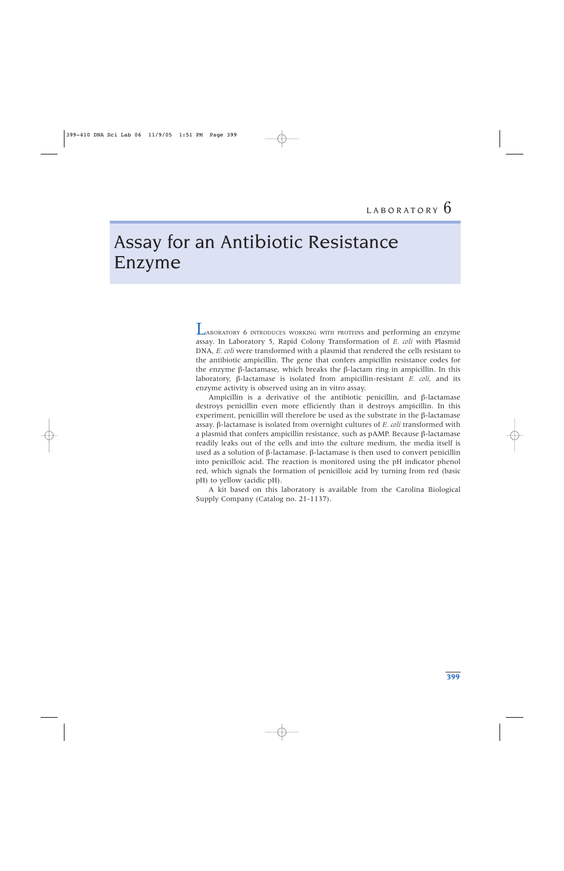# Assay for an Antibiotic Resistance Enzyme

LABORATORY 6 INTRODUCES WORKING WITH PROTEINS and performing an enzyme assay. In Laboratory 5, Rapid Colony Transformation of *E. coli* with Plasmid DNA, *E. coli* were transformed with a plasmid that rendered the cells resistant to the antibiotic ampicillin. The gene that confers ampicillin resistance codes for the enzyme β-lactamase, which breaks the β-lactam ring in ampicillin. In this laboratory, β-lactamase is isolated from ampicillin-resistant *E. coli*, and its enzyme activity is observed using an in vitro assay.

Ampicillin is a derivative of the antibiotic penicillin, and β-lactamase destroys penicillin even more efficiently than it destroys ampicillin. In this experiment, penicillin will therefore be used as the substrate in the  $\beta$ -lactamase assay. β-lactamase is isolated from overnight cultures of *E. coli* transformed with a plasmid that confers ampicillin resistance, such as pAMP. Because β-lactamase readily leaks out of the cells and into the culture medium, the media itself is used as a solution of β-lactamase. β-lactamase is then used to convert penicillin into penicilloic acid. The reaction is monitored using the pH indicator phenol red, which signals the formation of penicilloic acid by turning from red (basic pH) to yellow (acidic pH).

A kit based on this laboratory is available from the Carolina Biological Supply Company (Catalog no. 21-1137).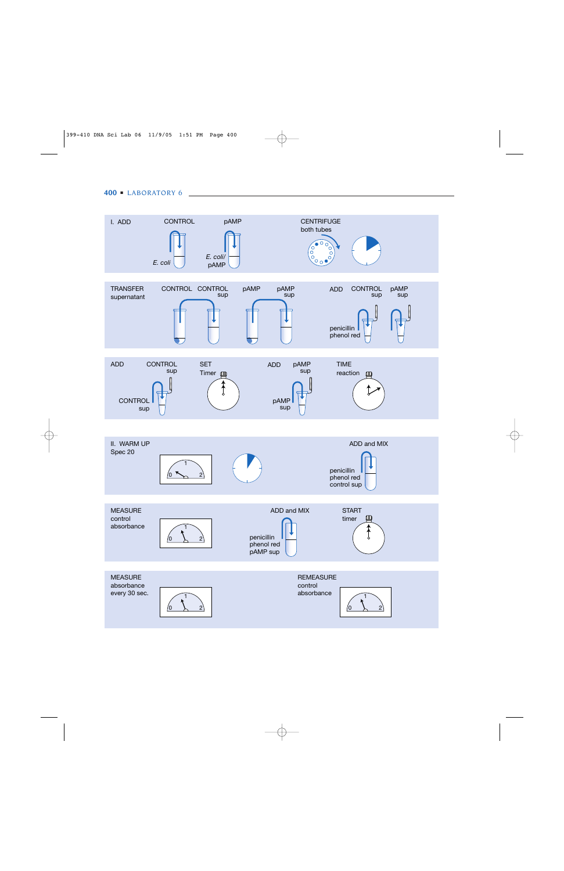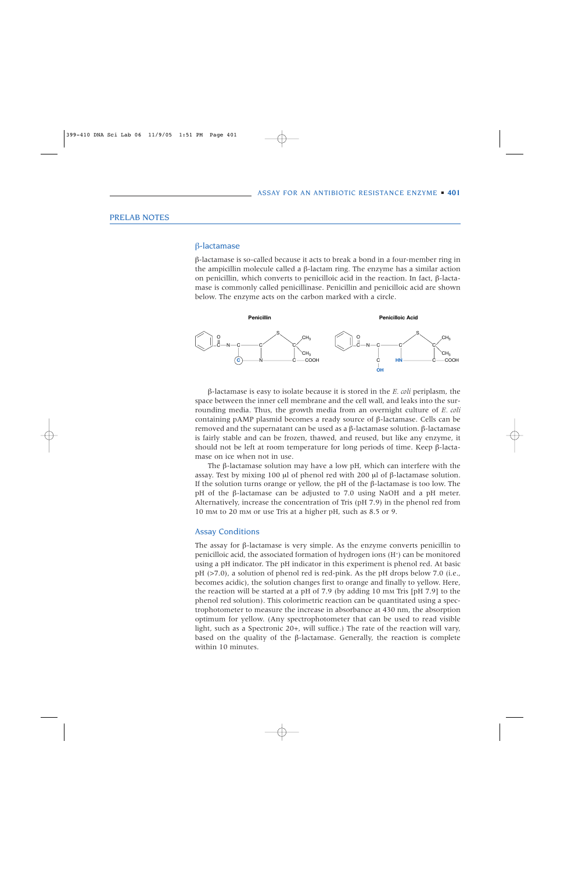# PRELAB NOTES

### β-lactamase

β-lactamase is so-called because it acts to break a bond in a four-member ring in the ampicillin molecule called a β-lactam ring. The enzyme has a similar action on penicillin, which converts to penicilloic acid in the reaction. In fact, β-lactamase is commonly called penicillinase. Penicillin and penicilloic acid are shown below. The enzyme acts on the carbon marked with a circle.



β-lactamase is easy to isolate because it is stored in the *E. coli* periplasm, the space between the inner cell membrane and the cell wall, and leaks into the surrounding media. Thus, the growth media from an overnight culture of *E. coli* containing pAMP plasmid becomes a ready source of β-lactamase. Cells can be removed and the supernatant can be used as a β-lactamase solution. β-lactamase is fairly stable and can be frozen, thawed, and reused, but like any enzyme, it should not be left at room temperature for long periods of time. Keep  $\beta$ -lactamase on ice when not in use.

The  $\beta$ -lactamase solution may have a low pH, which can interfere with the assay. Test by mixing 100 µl of phenol red with 200 µl of β-lactamase solution. If the solution turns orange or yellow, the pH of the β-lactamase is too low. The pH of the β-lactamase can be adjusted to 7.0 using NaOH and a pH meter. Alternatively, increase the concentration of Tris (pH 7.9) in the phenol red from 10 mM to 20 mM or use Tris at a higher pH, such as 8.5 or 9.

#### Assay Conditions

The assay for  $\beta$ -lactamase is very simple. As the enzyme converts penicillin to penicilloic acid, the associated formation of hydrogen ions (H+) can be monitored using a pH indicator. The pH indicator in this experiment is phenol red. At basic pH (>7.0), a solution of phenol red is red-pink. As the pH drops below 7.0 (i.e., becomes acidic), the solution changes first to orange and finally to yellow. Here, the reaction will be started at a pH of 7.9 (by adding 10 mM Tris [pH 7.9] to the phenol red solution). This colorimetric reaction can be quantitated using a spectrophotometer to measure the increase in absorbance at 430 nm, the absorption optimum for yellow. (Any spectrophotometer that can be used to read visible light, such as a Spectronic 20+, will suffice.) The rate of the reaction will vary, based on the quality of the  $\beta$ -lactamase. Generally, the reaction is complete within 10 minutes.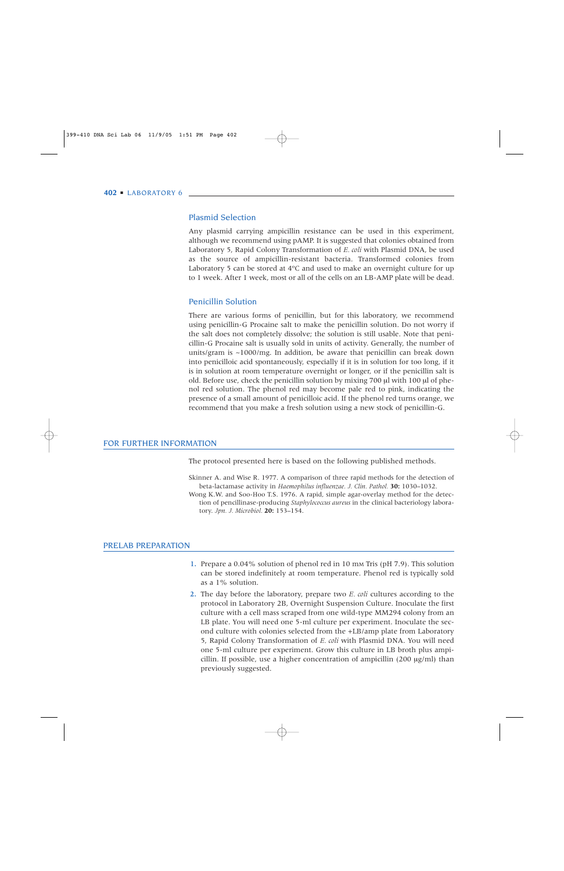# Plasmid Selection

Any plasmid carrying ampicillin resistance can be used in this experiment, although we recommend using pAMP. It is suggested that colonies obtained from Laboratory 5, Rapid Colony Transformation of *E. coli* with Plasmid DNA, be used as the source of ampicillin-resistant bacteria. Transformed colonies from Laboratory 5 can be stored at 4ºC and used to make an overnight culture for up to 1 week. After 1 week, most or all of the cells on an LB-AMP plate will be dead.

# Penicillin Solution

There are various forms of penicillin, but for this laboratory, we recommend using penicillin-G Procaine salt to make the penicillin solution. Do not worry if the salt does not completely dissolve; the solution is still usable. Note that penicillin-G Procaine salt is usually sold in units of activity. Generally, the number of units/gram is ~1000/mg. In addition, be aware that penicillin can break down into penicilloic acid spontaneously, especially if it is in solution for too long, if it is in solution at room temperature overnight or longer, or if the penicillin salt is old. Before use, check the penicillin solution by mixing 700 µl with 100 µl of phenol red solution. The phenol red may become pale red to pink, indicating the presence of a small amount of penicilloic acid. If the phenol red turns orange, we recommend that you make a fresh solution using a new stock of penicillin-G.

#### FOR FURTHER INFORMATION

The protocol presented here is based on the following published methods.

Skinner A. and Wise R. 1977. A comparison of three rapid methods for the detection of beta-lactamase activity in *Haemophilus influenzae. J. Clin. Pathol.* **30:** 1030–1032. Wong K.W. and Soo-Hoo T.S. 1976. A rapid, simple agar-overlay method for the detection of pencillinase-producing *Staphylococcus aureus* in the clinical bacteriology laboratory. *Jpn. J. Microbiol.* **20:** 153–154.

### PRELAB PREPARATION

- 1. Prepare a 0.04% solution of phenol red in 10 mM Tris (pH 7.9). This solution can be stored indefinitely at room temperature. Phenol red is typically sold as a 1% solution.
- 2. The day before the laboratory, prepare two *E. coli* cultures according to the protocol in Laboratory 2B, Overnight Suspension Culture. Inoculate the first culture with a cell mass scraped from one wild-type MM294 colony from an LB plate. You will need one 5-ml culture per experiment. Inoculate the second culture with colonies selected from the +LB/amp plate from Laboratory 5, Rapid Colony Transformation of *E. coli* with Plasmid DNA. You will need one 5-ml culture per experiment. Grow this culture in LB broth plus ampicillin. If possible, use a higher concentration of ampicillin  $(200 \mu g/ml)$  than previously suggested.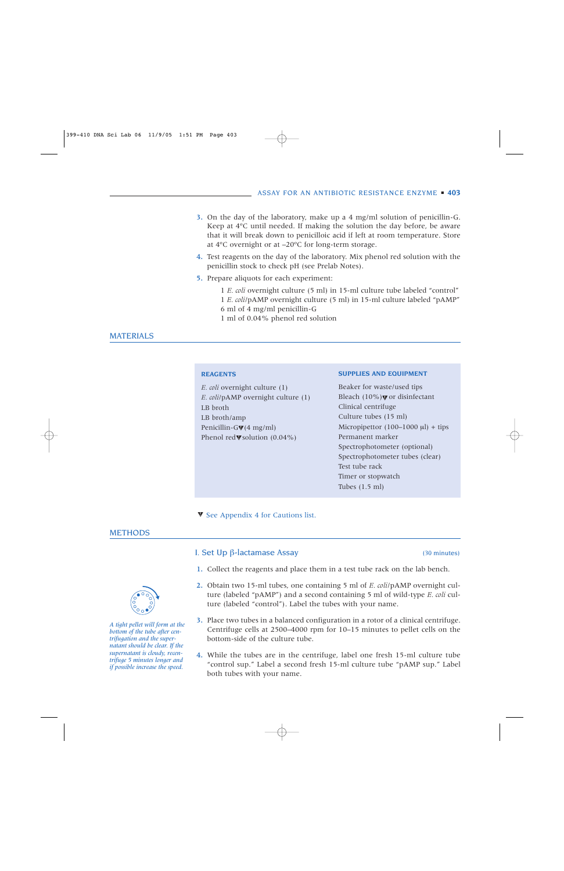- 3. On the day of the laboratory, make up a 4 mg/ml solution of penicillin-G. Keep at 4ºC until needed. If making the solution the day before, be aware that it will break down to penicilloic acid if left at room temperature. Store at 4ºC overnight or at –20ºC for long-term storage.
- 4. Test reagents on the day of the laboratory. Mix phenol red solution with the penicillin stock to check pH (see Prelab Notes).
- 5. Prepare aliquots for each experiment:
	- 1 *E. coli* overnight culture (5 ml) in 15-ml culture tube labeled "control" 1 *E. coli*/pAMP overnight culture (5 ml) in 15-ml culture labeled "pAMP" 6 ml of 4 mg/ml penicillin-G

1 ml of 0.04% phenol red solution

# MATERIALS

#### **REAGENTS**

| <i>E. coli</i> overnight culture (1)             |
|--------------------------------------------------|
| E. coli/pAMP overnight culture (1)               |
| LB broth                                         |
| LB broth/amp                                     |
| Penicillin-G $\nabla$ (4 mg/ml)                  |
| Phenol red $\blacktriangledown$ solution (0.04%) |
|                                                  |

#### **SUPPLIES AND EQUIPMENT**

Beaker for waste/used tips Bleach  $(10\%)$  or disinfectant Clinical centrifuge Culture tubes (15 ml) Micropipettor  $(100-1000 \text{ µl}) + \text{ tips}$ Permanent marker Spectrophotometer (optional) Spectrophotometer tubes (clear) Test tube rack Timer or stopwatch Tubes (1.5 ml)

 $\blacktriangledown$  See Appendix 4 for Cautions list.

#### METHODS

# I. Set Up β-lactamase Assay (30 minutes)

- 1. Collect the reagents and place them in a test tube rack on the lab bench.
- 2. Obtain two 15-ml tubes, one containing 5 ml of *E. coli*/pAMP overnight culture (labeled "pAMP") and a second containing 5 ml of wild-type *E. coli* culture (labeled "control"). Label the tubes with your name.
- 3. Place two tubes in a balanced configuration in a rotor of a clinical centrifuge. Centrifuge cells at 2500–4000 rpm for 10–15 minutes to pellet cells on the bottom-side of the culture tube.
- 4. While the tubes are in the centrifuge, label one fresh 15-ml culture tube "control sup." Label a second fresh 15-ml culture tube "pAMP sup." Label both tubes with your name.



*A tight pellet will form at the bottom of the tube after centrifugation and the supernatant should be clear. If the supernatant is cloudy, recentrifuge 5 minutes longer and if possible increase the speed.*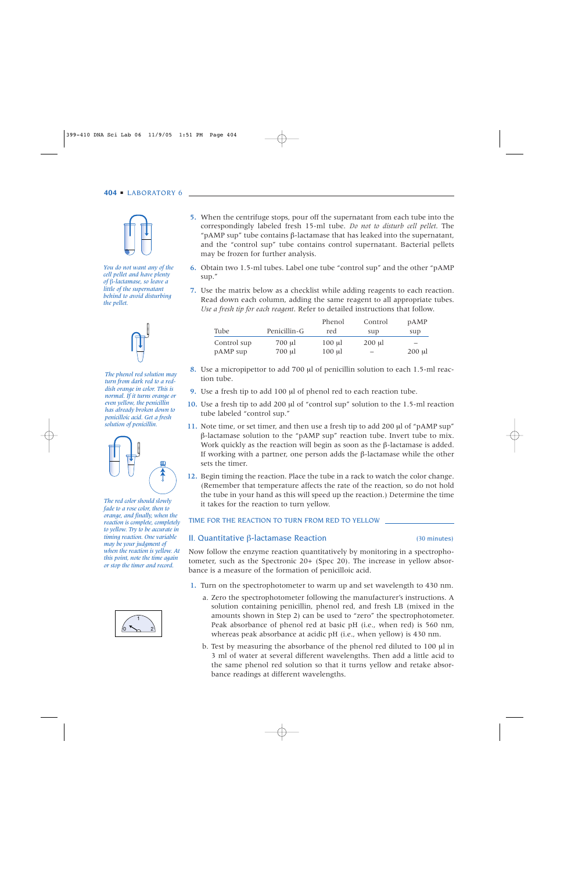

*You do not want any of the cell pellet and have plenty of* β*-lactamase, so leave a little of the supernatant behind to avoid disturbing the pellet.*



*The phenol red solution may turn from dark red to a reddish orange in color. This is normal. If it turns orange or even yellow, the penicillin has already broken down to penicilloic acid. Get a fresh solution of penicillin.* 



*The red color should slowly fade to a rose color, then to orange, and finally, when the reaction is complete, completely to yellow. Try to be accurate in timing reaction. One variable may be your judgment of when the reaction is yellow. At this point, note the time again or stop the timer and record.*



- 5. When the centrifuge stops, pour off the supernatant from each tube into the correspondingly labeled fresh 15-ml tube. *Do not to disturb cell pellet*. The " $pAMP$  sup" tube contains  $β$ -lactamase that has leaked into the supernatant, and the "control sup" tube contains control supernatant. Bacterial pellets may be frozen for further analysis.
- 6. Obtain two 1.5-ml tubes. Label one tube "control sup" and the other "pAMP sup."
- 7. Use the matrix below as a checklist while adding reagents to each reaction. Read down each column, adding the same reagent to all appropriate tubes. *Use a fresh tip for each reagent*. Refer to detailed instructions that follow.

|             |              | Phenol            | Control | <b>pAMP</b>       |
|-------------|--------------|-------------------|---------|-------------------|
| Tube        | Penicillin-G | red               | sup     | sup               |
| Control sup | 700 µl       | $100 \mathrm{ul}$ | 200 ul  | $\qquad \qquad -$ |
| pAMP sup    | 700 µl       | $100 \mu l$       |         | $200 \mu l$       |

- 8. Use a micropipettor to add 700 µl of penicillin solution to each 1.5-ml reaction tube.
- 9. Use a fresh tip to add 100 µl of phenol red to each reaction tube.
- 10. Use a fresh tip to add 200 µl of "control sup" solution to the 1.5-ml reaction tube labeled "control sup."
- 11. Note time, or set timer, and then use a fresh tip to add 200 µl of "pAMP sup" β-lactamase solution to the "pAMP sup" reaction tube. Invert tube to mix. Work quickly as the reaction will begin as soon as the  $\beta$ -lactamase is added. If working with a partner, one person adds the β-lactamase while the other sets the timer.
- 12. Begin timing the reaction. Place the tube in a rack to watch the color change. (Remember that temperature affects the rate of the reaction, so do not hold the tube in your hand as this will speed up the reaction.) Determine the time it takes for the reaction to turn yellow.

TIME FOR THE REACTION TO TURN FROM RED TO YELLOW

# II. Quantitative β-lactamase Reaction (30 minutes)

Now follow the enzyme reaction quantitatively by monitoring in a spectrophotometer, such as the Spectronic 20+ (Spec 20). The increase in yellow absorbance is a measure of the formation of penicilloic acid.

- 1. Turn on the spectrophotometer to warm up and set wavelength to 430 nm.
	- a. Zero the spectrophotometer following the manufacturer's instructions. A solution containing penicillin, phenol red, and fresh LB (mixed in the amounts shown in Step 2) can be used to "zero" the spectrophotometer. Peak absorbance of phenol red at basic pH (i.e., when red) is 560 nm, whereas peak absorbance at acidic pH (i.e., when yellow) is 430 nm.
	- b. Test by measuring the absorbance of the phenol red diluted to 100 µ in 3 ml of water at several different wavelengths. Then add a little acid to the same phenol red solution so that it turns yellow and retake absorbance readings at different wavelengths.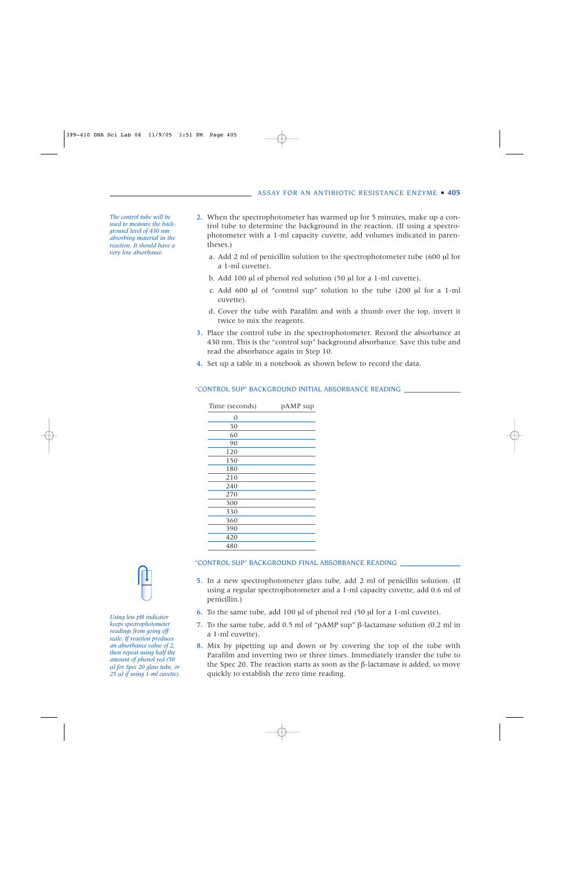*The control tube will be used to measure the background level of 430 nm absorbing material in the reaction. It should have a very low absorbance.*

- 2. When the spectrophotometer has warmed up for 5 minutes, make up a control tube to determine the background in the reaction. (If using a spectrophotometer with a 1-ml capacity cuvette, add volumes indicated in parentheses.)
	- a. Add 2 ml of penicillin solution to the spectrophotometer tube  $(600 \mu)$  for a 1-ml cuvette).
	- b. Add 100 µl of phenol red solution (50 µl for a 1-ml cuvette).
	- c. Add 600  $\mu$ l of "control sup" solution to the tube (200  $\mu$ l for a 1-ml cuvette).
	- d. Cover the tube with Parafilm and with a thumb over the top, invert it twice to mix the reagents.
- 3. Place the control tube in the spectrophotometer. Record the absorbance at 430 nm. This is the "control sup" background absorbance. Save this tube and read the absorbance again in Step 10.
- 4. Set up a table in a notebook as shown below to record the data.

| Time (seconds) | pAMP sup |
|----------------|----------|
| $\overline{0}$ |          |
| 30             |          |
| 60             |          |
| 90             |          |
| 120            |          |
| 150            |          |
| 180            |          |
| 210            |          |
| 240            |          |
| 270            |          |
| 300            |          |
| 330            |          |
| 360            |          |
| 390            |          |
| 420            |          |
| 480            |          |

#### "CONTROL SUP" BACKGROUND INITIAL ABSORBANCE READING



*Using less pH indicator keeps spectrophotometer readings from going off scale. If reaction produces an absorbance value of 2, then repeat using half the amount of phenol red (50* µ*l for Spec 20 glass tube, or 25* µ*l if using 1-ml cuvette).*

#### "CONTROL SUP" BACKGROUND FINAL ABSORBANCE READING

- 5. In a new spectrophotometer glass tube, add 2 ml of penicillin solution. (If using a regular spectrophotometer and a 1-ml capacity cuvette, add 0.6 ml of penicillin.)
- 6. To the same tube, add 100 µl of phenol red (50 µl for a 1-ml cuvette).
- 7. To the same tube, add 0.5 ml of "pAMP sup" β-lactamase solution (0.2 ml in a 1-ml cuvette).
- 8. Mix by pipetting up and down or by covering the top of the tube with Parafilm and inverting two or three times. Immediately transfer the tube to the Spec 20. The reaction starts as soon as the β-lactamase is added, so move quickly to establish the zero time reading.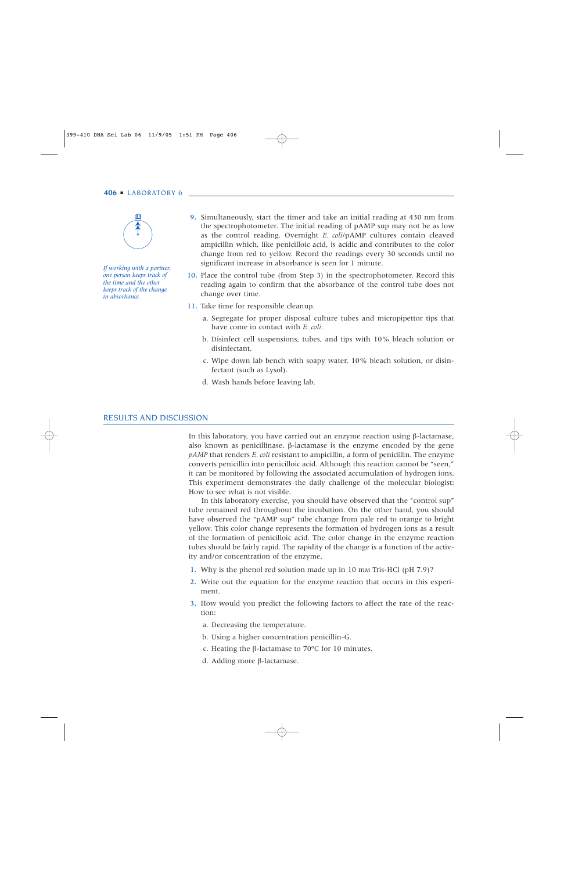

*If working with a partner, one person keeps track of the time and the other keeps track of the change in absorbance.* 

- 9. Simultaneously, start the timer and take an initial reading at 430 nm from the spectrophotometer. The initial reading of pAMP sup may not be as low as the control reading. Overnight *E. coli*/pAMP cultures contain cleaved ampicillin which, like penicilloic acid, is acidic and contributes to the color change from red to yellow. Record the readings every 30 seconds until no significant increase in absorbance is seen for 1 minute.
- 10. Place the control tube (from Step 3) in the spectrophotometer. Record this reading again to confirm that the absorbance of the control tube does not change over time.
- 11. Take time for responsible cleanup.
	- a. Segregate for proper disposal culture tubes and micropipettor tips that have come in contact with *E. coli*.
	- b. Disinfect cell suspensions, tubes, and tips with 10% bleach solution or disinfectant.
	- c. Wipe down lab bench with soapy water, 10% bleach solution, or disinfectant (such as Lysol).
	- d. Wash hands before leaving lab.

#### RESULTS AND DISCUSSION

In this laboratory, you have carried out an enzyme reaction using β-lactamase, also known as penicillinase. β-lactamase is the enzyme encoded by the gene *pAMP* that renders *E. coli* resistant to ampicillin, a form of penicillin. The enzyme converts penicillin into penicilloic acid. Although this reaction cannot be "seen," it can be monitored by following the associated accumulation of hydrogen ions. This experiment demonstrates the daily challenge of the molecular biologist: How to see what is not visible.

In this laboratory exercise, you should have observed that the "control sup" tube remained red throughout the incubation. On the other hand, you should have observed the "pAMP sup" tube change from pale red to orange to bright yellow. This color change represents the formation of hydrogen ions as a result of the formation of penicilloic acid. The color change in the enzyme reaction tubes should be fairly rapid. The rapidity of the change is a function of the activity and/or concentration of the enzyme.

- 1. Why is the phenol red solution made up in 10 mm Tris-HCl (pH 7.9)?
- 2. Write out the equation for the enzyme reaction that occurs in this experiment.
- 3. How would you predict the following factors to affect the rate of the reaction:
	- a. Decreasing the temperature.
	- b. Using a higher concentration penicillin-G.
	- c. Heating the β-lactamase to 70ºC for 10 minutes.
	- d. Adding more β-lactamase.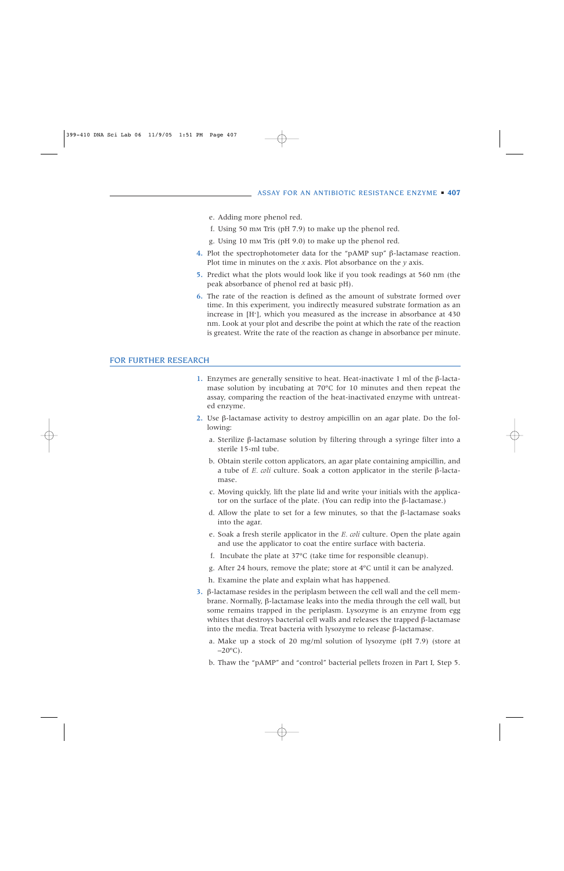- e. Adding more phenol red.
- f. Using 50 mM Tris (pH 7.9) to make up the phenol red.
- g. Using 10 mM Tris (pH 9.0) to make up the phenol red.
- 4. Plot the spectrophotometer data for the "pAMP sup" β-lactamase reaction. Plot time in minutes on the *x* axis. Plot absorbance on the *y* axis.
- 5. Predict what the plots would look like if you took readings at 560 nm (the peak absorbance of phenol red at basic pH).
- 6. The rate of the reaction is defined as the amount of substrate formed over time. In this experiment, you indirectly measured substrate formation as an increase in [H+ ], which you measured as the increase in absorbance at 430 nm. Look at your plot and describe the point at which the rate of the reaction is greatest. Write the rate of the reaction as change in absorbance per minute.

# FOR FURTHER RESEARCH

- 1. Enzymes are generally sensitive to heat. Heat-inactivate 1 ml of the β-lactamase solution by incubating at 70ºC for 10 minutes and then repeat the assay, comparing the reaction of the heat-inactivated enzyme with untreated enzyme.
- 2. Use β-lactamase activity to destroy ampicillin on an agar plate. Do the following:
	- a. Sterilize β-lactamase solution by filtering through a syringe filter into a sterile 15-ml tube.
	- b. Obtain sterile cotton applicators, an agar plate containing ampicillin, and a tube of *E. coli* culture. Soak a cotton applicator in the sterile β-lactamase.
	- c. Moving quickly, lift the plate lid and write your initials with the applicator on the surface of the plate. (You can redip into the β-lactamase.)
	- d. Allow the plate to set for a few minutes, so that the β-lactamase soaks into the agar.
	- e. Soak a fresh sterile applicator in the *E. coli* culture. Open the plate again and use the applicator to coat the entire surface with bacteria.
	- f. Incubate the plate at 37ºC (take time for responsible cleanup).
	- g. After 24 hours, remove the plate; store at 4ºC until it can be analyzed.
	- h. Examine the plate and explain what has happened.
- 3. β-lactamase resides in the periplasm between the cell wall and the cell membrane. Normally, β-lactamase leaks into the media through the cell wall, but some remains trapped in the periplasm. Lysozyme is an enzyme from egg whites that destroys bacterial cell walls and releases the trapped β-lactamase into the media. Treat bacteria with lysozyme to release β-lactamase.
	- a. Make up a stock of 20 mg/ml solution of lysozyme (pH 7.9) (store at  $-20\text{°C}$ ).
	- b. Thaw the "pAMP" and "control" bacterial pellets frozen in Part I, Step 5.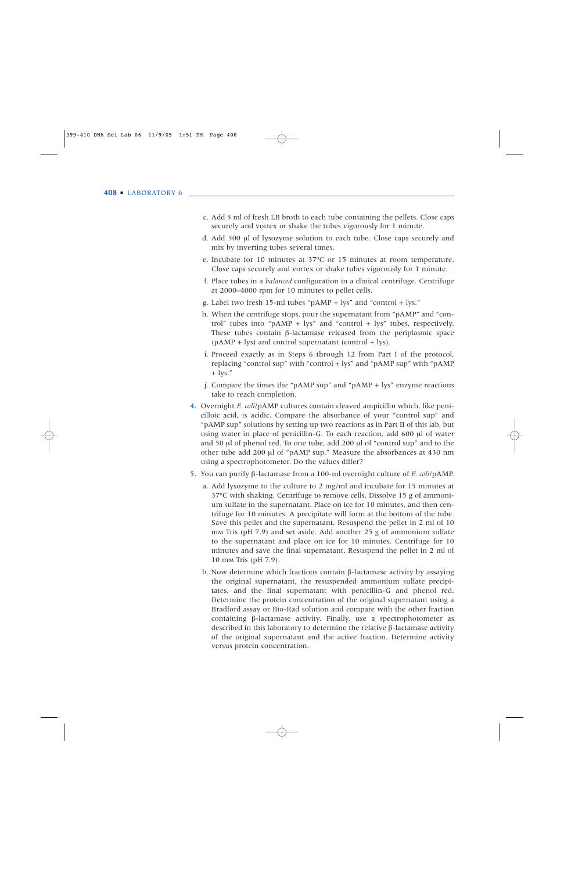- c. Add 5 ml of fresh LB broth to each tube containing the pellets. Close caps securely and vortex or shake the tubes vigorously for 1 minute.
- d. Add 500 µl of lysozyme solution to each tube. Close caps securely and mix by inverting tubes several times.
- e. Incubate for 10 minutes at 37ºC or 15 minutes at room temperature. Close caps securely and vortex or shake tubes vigorously for 1 minute.
- f. Place tubes in a *balanced* configuration in a clinical centrifuge. Centrifuge at 2000–4000 rpm for 10 minutes to pellet cells.
- g. Label two fresh 15-ml tubes "pAMP + lys" and "control + lys."
- h. When the centrifuge stops, pour the supernatant from "pAMP" and "control" tubes into "pAMP + lys" and "control + lys" tubes, respectively. These tubes contain β-lactamase released from the periplasmic space  $(pAMP + lys)$  and control supernatant (control + lys).
- i. Proceed exactly as in Steps 6 through 12 from Part I of the protocol, replacing "control sup" with "control + lys" and "pAMP sup" with "pAMP  $+$  lys."
- j. Compare the times the "pAMP sup" and "pAMP + lys" enzyme reactions take to reach completion.
- 4. Overnight *E. coli*/pAMP cultures contain cleaved ampicillin which, like penicilloic acid, is acidic. Compare the absorbance of your "control sup" and "pAMP sup" solutions by setting up two reactions as in Part II of this lab, but using water in place of penicillin-G. To each reaction, add 600 µl of water and 50 µl of phenol red. To one tube, add 200 µl of "control sup" and to the other tube add 200 µl of "pAMP sup." Measure the absorbances at 430 nm using a spectrophotometer. Do the values differ?
- 5. You can purify β-lactamase from a 100-ml overnight culture of *E. coli*/pAMP.
	- a. Add lysozyme to the culture to 2 mg/ml and incubate for 15 minutes at 37ºC with shaking. Centrifuge to remove cells. Dissolve 15 g of ammonium sulfate in the supernatant. Place on ice for 10 minutes, and then centrifuge for 10 minutes. A precipitate will form at the bottom of the tube. Save this pellet and the supernatant. Resuspend the pellet in 2 ml of 10 mM Tris (pH 7.9) and set aside. Add another 25 g of ammonium sulfate to the supernatant and place on ice for 10 minutes. Centrifuge for 10 minutes and save the final supernatant. Resuspend the pellet in 2 ml of 10 mM Tris (pH 7.9).
	- b. Now determine which fractions contain β-lactamase activity by assaying the original supernatant, the resuspended ammonium sulfate precipitates, and the final supernatant with penicillin-G and phenol red. Determine the protein concentration of the original supernatant using a Bradford assay or Bio-Rad solution and compare with the other fraction containing β-lactamase activity. Finally, use a spectrophotometer as described in this laboratory to determine the relative β-lactamase activity of the original supernatant and the active fraction. Determine activity versus protein concentration.